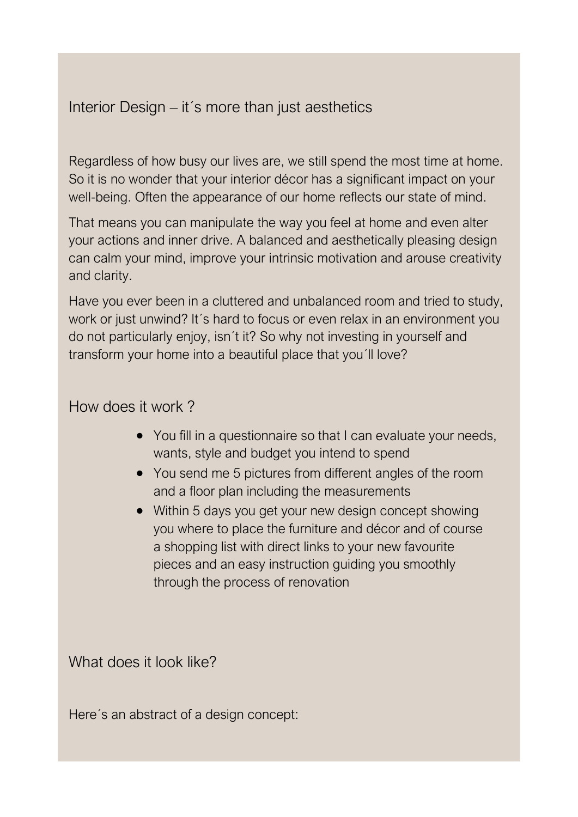## Interior Design – it´s more than just aesthetics

Regardless of how busy our lives are, we still spend the most time at home. So it is no wonder that your interior décor has a significant impact on your well-being. Often the appearance of our home reflects our state of mind.

That means you can manipulate the way you feel at home and even alter your actions and inner drive. A balanced and aesthetically pleasing design can calm your mind, improve your intrinsic motivation and arouse creativity and clarity.

Have you ever been in a cluttered and unbalanced room and tried to study, work or just unwind? It´s hard to focus or even relax in an environment you do not particularly enjoy, isn´t it? So why not investing in yourself and transform your home into a beautiful place that you´ll love?

## How does it work ?

- You fill in a questionnaire so that I can evaluate your needs, wants, style and budget you intend to spend
- You send me 5 pictures from different angles of the room and a floor plan including the measurements
- Within 5 days you get your new design concept showing you where to place the furniture and décor and of course a shopping list with direct links to your new favourite pieces and an easy instruction guiding you smoothly through the process of renovation

What does it look like?

Here´s an abstract of a design concept: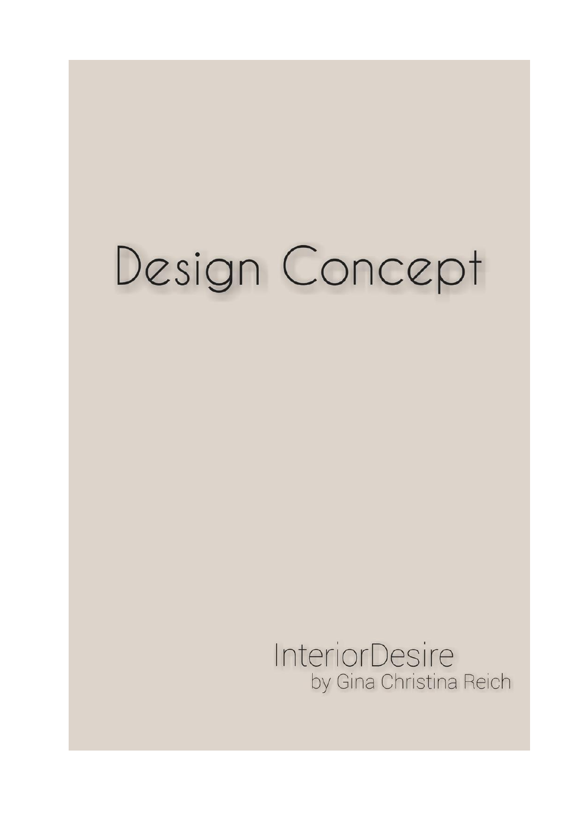## Design Concept

**InteriorDesire** by Gina Christina Reich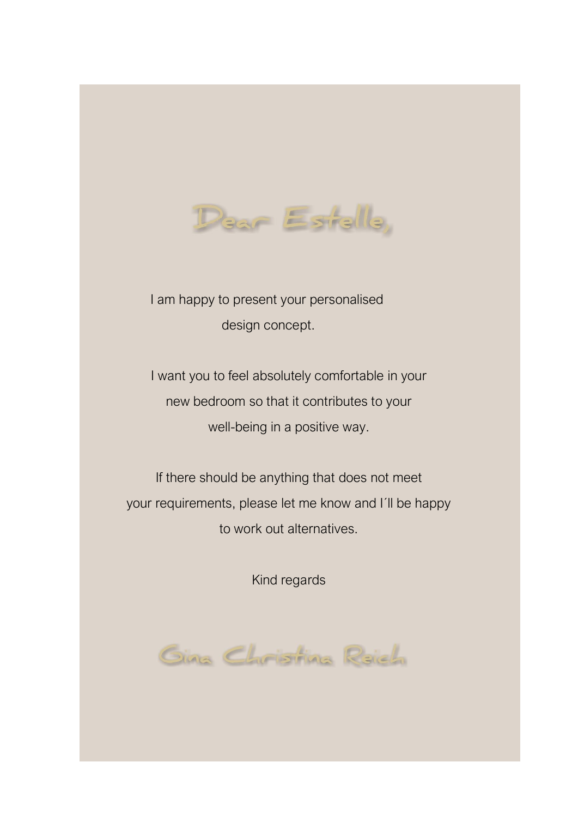

 I am happy to present your personalised design concept.

I want you to feel absolutely comfortable in your new bedroom so that it contributes to your well-being in a positive way.

If there should be anything that does not meet your requirements, please let me know and I´ll be happy to work out alternatives.

Kind regards

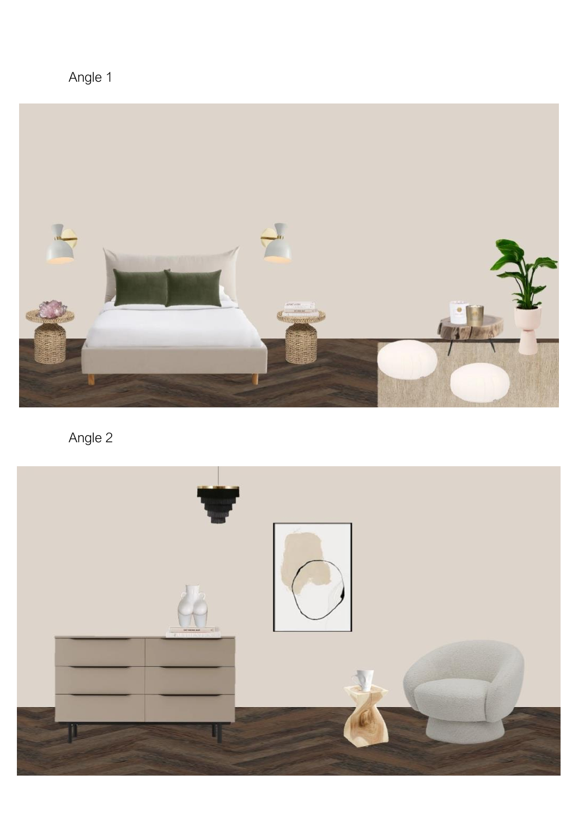Angle 1



Angle 2

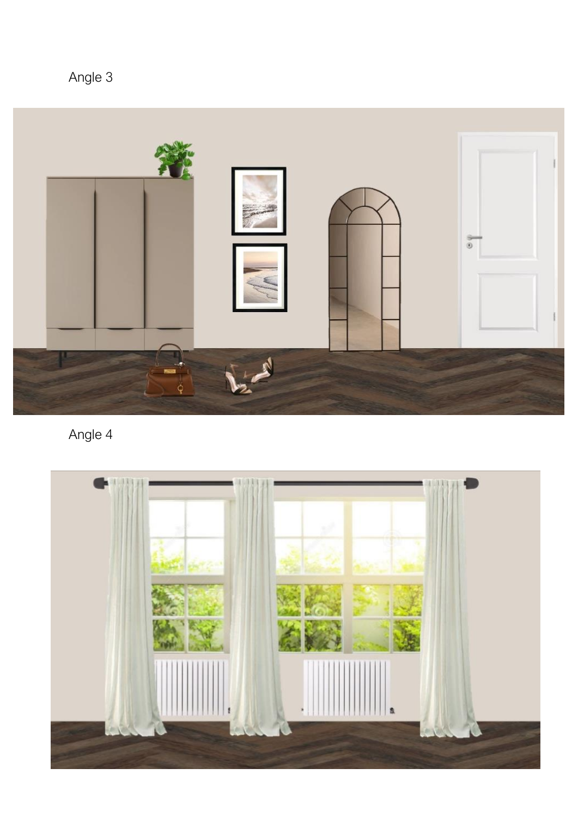Angle 3



Angle 4

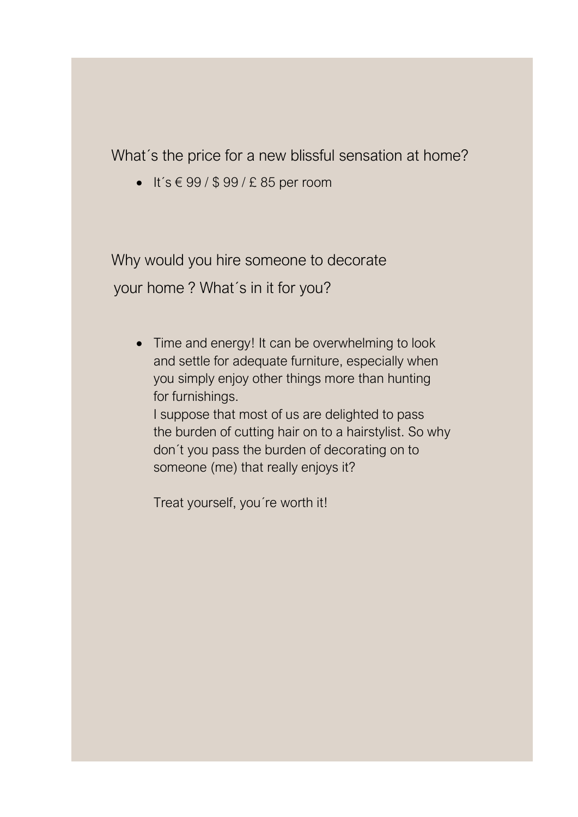What´s the price for a new blissful sensation at home?

■ It's  $\in$  99 / \$ 99 / £ 85 per room

 Why would you hire someone to decorate your home ? What´s in it for you?

I

• Time and energy! It can be overwhelming to look and settle for adequate furniture, especially when you simply enjoy other things more than hunting for furnishings.

I suppose that most of us are delighted to pass the burden of cutting hair on to a hairstylist. So why don´t you pass the burden of decorating on to someone (me) that really enjoys it?

Treat yourself, you´re worth it!